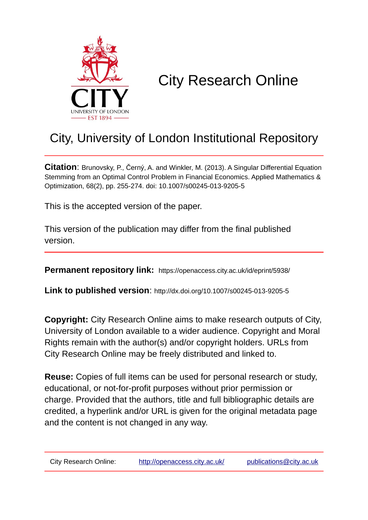

# City Research Online

## City, University of London Institutional Repository

**Citation**: Brunovsky, P., Černý, A. and Winkler, M. (2013). A Singular Differential Equation Stemming from an Optimal Control Problem in Financial Economics. Applied Mathematics & Optimization, 68(2), pp. 255-274. doi: 10.1007/s00245-013-9205-5

This is the accepted version of the paper.

This version of the publication may differ from the final published version.

**Permanent repository link:** https://openaccess.city.ac.uk/id/eprint/5938/

**Link to published version**: http://dx.doi.org/10.1007/s00245-013-9205-5

**Copyright:** City Research Online aims to make research outputs of City, University of London available to a wider audience. Copyright and Moral Rights remain with the author(s) and/or copyright holders. URLs from City Research Online may be freely distributed and linked to.

**Reuse:** Copies of full items can be used for personal research or study, educational, or not-for-profit purposes without prior permission or charge. Provided that the authors, title and full bibliographic details are credited, a hyperlink and/or URL is given for the original metadata page and the content is not changed in any way.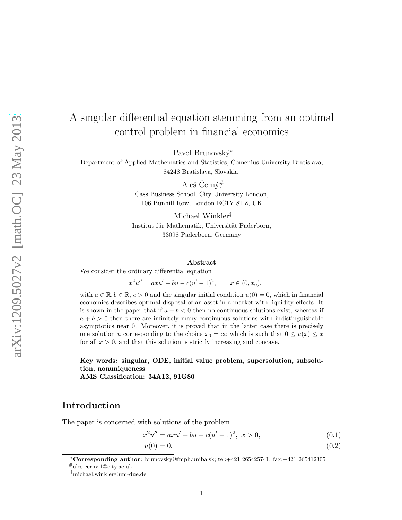### A singular differential equation stemming from an optimal control problem in financial economics

Pavol Brunovský<sup>\*</sup>

Department of Applied Mathematics and Statistics, Comenius University Bratislava, 84248 Bratislava, Slovakia,

> Aleš Černý# Cass Business School, City University London, 106 Bunhill Row, London EC1Y 8TZ, UK

Michael Winkler‡ Institut für Mathematik, Universität Paderborn, 33098 Paderborn, Germany

#### Abstract

We consider the ordinary differential equation

 $x^2u'' = axu' + bu - c(u'-1)^2$  $x \in (0, x_0)$ ,

with  $a \in \mathbb{R}, b \in \mathbb{R}, c > 0$  and the singular initial condition  $u(0) = 0$ , which in financial economics describes optimal disposal of an asset in a market with liquidity effects. It is shown in the paper that if  $a + b < 0$  then no continuous solutions exist, whereas if  $a + b > 0$  then there are infinitely many continuous solutions with indistinguishable asymptotics near 0. Moreover, it is proved that in the latter case there is precisely one solution u corresponding to the choice  $x_0 = \infty$  which is such that  $0 \le u(x) \le x$ for all  $x > 0$ , and that this solution is strictly increasing and concave.

Key words: singular, ODE, initial value problem, supersolution, subsolution, nonuniqueness AMS Classification: 34A12, 91G80

#### Introduction

The paper is concerned with solutions of the problem

$$
x^{2}u'' = axu' + bu - c(u'-1)^{2}, \ x > 0,
$$
\n(0.1)

<span id="page-1-1"></span><span id="page-1-0"></span>
$$
u(0) = 0,\t(0.2)
$$

<sup>∗</sup>Corresponding author: brunovsky@fmph.uniba.sk; tel:+421 265425741; fax:+421 265412305

<sup>#</sup>ales.cerny.1@city.ac.uk

<sup>‡</sup>michael.winkler@uni-due.de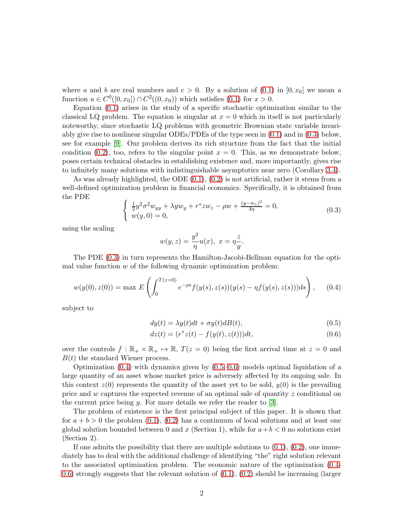where a and b are real numbers and  $c > 0$ . By a solution of  $(0.1)$  in  $[0, x_0]$  we mean a function  $u \in C^0([0, x_0]) \cap C^2((0, x_0))$  which satisfies  $(0.1)$  for  $x > 0$ .

Equation [\(0.1\)](#page-1-0) arises in the study of a specific stochastic optimization similar to the classical LQ problem. The equation is singular at  $x = 0$  which in itself is not particularly noteworthy, since stochastic LQ problems with geometric Brownian state variable invariably give rise to nonlinear singular ODEs/PDEs of the type seen in [\(0.1\)](#page-1-0) and in [\(0.3\)](#page-2-0) below, see for example [\[9\]](#page-21-0). Our problem derives its rich structure from the fact that the initial condition [\(0.2\)](#page-1-1), too, refers to the singular point  $x = 0$ . This, as we demonstrate below, poses certain technical obstacles in establishing existence and, more importantly, gives rise to infinitely many solutions with indistinguishable asymptotics near zero (Corollary [3.4\)](#page-12-0).

As was already highlighted, the ODE  $(0.1)$ ,  $(0.2)$  is not artificial, rather it stems from a well-defined optimization problem in financial economics. Specifically, it is obtained from the PDE

<span id="page-2-0"></span>
$$
\begin{cases} \frac{1}{2}y^2 \sigma^2 w_{yy} + \lambda y w_y + r^* z w_z - \rho w + \frac{(y - w_z)^2}{4\eta} = 0, \\ w(y, 0) = 0, \end{cases}
$$
 (0.3)

using the scaling

$$
w(y, z) = \frac{y^2}{\eta}u(x), \ x = \eta \frac{z}{y}.
$$

The PDE [\(0.3\)](#page-2-0) in turn represents the Hamilton-Jacobi-Bellman equation for the optimal value function  $w$  of the following dynamic optimization problem:

<span id="page-2-1"></span>
$$
w(y(0), z(0)) = \max E\left(\int_0^{T(z=0)} e^{-\rho s} f(y(s), z(s))(y(s) - \eta f(y(s), z(s)))ds\right), \quad (0.4)
$$

subject to

<span id="page-2-2"></span>
$$
dy(t) = \lambda y(t)dt + \sigma y(t)dB(t),
$$
\n(0.5)

<span id="page-2-3"></span>
$$
dz(t) = (r^*z(t) - f(y(t), z(t)))dt,
$$
\n(0.6)

over the controls  $f : \mathbb{R}_+ \times \mathbb{R}_+ \mapsto \mathbb{R}$ ,  $T(z = 0)$  being the first arrival time at  $z = 0$  and  $B(t)$  the standard Wiener process.

Optimization [\(0.4\)](#page-2-1) with dynamics given by [\(0.5,](#page-2-2) [0.6\)](#page-2-3) models optimal liquidation of a large quantity of an asset whose market price is adversely affected by its ongoing sale. In this context  $z(0)$  represents the quantity of the asset yet to be sold,  $y(0)$  is the prevailing price and w captures the expected revenue of an optimal sale of quantity z conditional on the current price being  $y$ . For more details we refer the reader to [\[3\]](#page-20-0).

The problem of existence is the first principal subject of this paper. It is shown that for  $a + b > 0$  the problem [\(0.1\)](#page-1-0), [\(0.2\)](#page-1-1) has a continuum of local solutions and at least one global solution bounded between 0 and x (Section 1), while for  $a+b<0$  no solutions exist (Section 2).

If one admits the possibility that there are multiple solutions to  $(0.1)$ ,  $(0.2)$ , one immediately has to deal with the additional challenge of identifying "the" right solution relevant to the associated optimization problem. The economic nature of the optimization [\(0.4-](#page-2-1) [0.6\)](#page-2-3) strongly suggests that the relevant solution of  $(0.1)$ ,  $(0.2)$  should be increasing (larger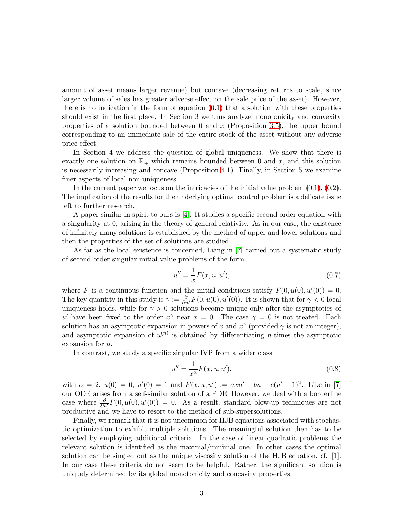amount of asset means larger revenue) but concave (decreasing returns to scale, since larger volume of sales has greater adverse effect on the sale price of the asset). However, there is no indication in the form of equation  $(0.1)$  that a solution with these properties should exist in the first place. In Section 3 we thus analyze monotonicity and convexity properties of a solution bounded between 0 and  $x$  (Proposition [3.5\)](#page-12-1), the upper bound corresponding to an immediate sale of the entire stock of the asset without any adverse price effect.

In Section 4 we address the question of global uniqueness. We show that there is exactly one solution on  $\mathbb{R}_+$  which remains bounded between 0 and x, and this solution is necessarily increasing and concave (Proposition [4.1\)](#page-13-0). Finally, in Section 5 we examine finer aspects of local non-uniqueness.

In the current paper we focus on the intricacies of the initial value problem  $(0.1)$ ,  $(0.2)$ . The implication of the results for the underlying optimal control problem is a delicate issue left to further research.

A paper similar in spirit to ours is [\[4\]](#page-20-1). It studies a specific second order equation with a singularity at 0, arising in the theory of general relativity. As in our case, the existence of infinitely many solutions is established by the method of upper and lower solutions and then the properties of the set of solutions are studied.

As far as the local existence is concerned, Liang in [\[7\]](#page-21-1) carried out a systematic study of second order singular initial value problems of the form

$$
u'' = \frac{1}{x}F(x, u, u'),
$$
\n(0.7)

where F is a continuous function and the initial conditions satisfy  $F(0, u(0), u'(0)) = 0$ . The key quantity in this study is  $\gamma := \frac{\partial}{\partial u'} F(0, u(0), u'(0))$ . It is shown that for  $\gamma < 0$  local uniqueness holds, while for  $\gamma > 0$  solutions become unique only after the asymptotics of u' have been fixed to the order  $x^{\gamma}$  near  $x = 0$ . The case  $\gamma = 0$  is not treated. Each solution has an asymptotic expansion in powers of x and  $x^{\gamma}$  (provided  $\gamma$  is not an integer), and asymptotic expansion of  $u^{(n)}$  is obtained by differentiating *n*-times the asymptotic expansion for u.

In contrast, we study a specific singular IVP from a wider class

$$
u'' = \frac{1}{x^{\alpha}} F(x, u, u'), \qquad (0.8)
$$

with  $\alpha = 2$ ,  $u(0) = 0$ ,  $u'(0) = 1$  and  $F(x, u, u') := axu' + bu - c(u' - 1)^2$ . Like in [\[7\]](#page-21-1) our ODE arises from a self-similar solution of a PDE. However, we deal with a borderline case where  $\frac{\partial}{\partial u'}F(0, u(0), u'(0)) = 0$ . As a result, standard blow-up techniques are not productive and we have to resort to the method of sub-supersolutions.

Finally, we remark that it is not uncommon for HJB equations associated with stochastic optimization to exhibit multiple solutions. The meaningful solution then has to be selected by employing additional criteria. In the case of linear-quadratic problems the relevant solution is identified as the maximal/minimal one. In other cases the optimal solution can be singled out as the unique viscosity solution of the HJB equation, cf. [\[1\]](#page-20-2). In our case these criteria do not seem to be helpful. Rather, the significant solution is uniquely determined by its global monotonicity and concavity properties.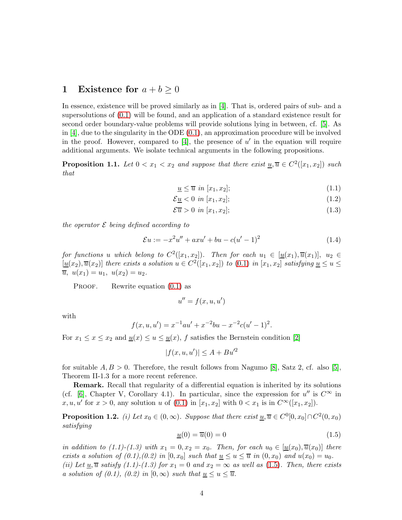#### 1 Existence for  $a + b \geq 0$

In essence, existence will be proved similarly as in [\[4\]](#page-20-1). That is, ordered pairs of sub- and a supersolutions of [\(0.1\)](#page-1-0) will be found, and an application of a standard existence result for second order boundary-value problems will provide solutions lying in between, cf. [\[5\]](#page-20-3). As in  $[4]$ , due to the singularity in the ODE  $(0.1)$ , an approximation procedure will be involved in the proof. However, compared to [\[4\]](#page-20-1), the presence of  $u'$  in the equation will require additional arguments. We isolate technical arguments in the following propositions.

<span id="page-4-1"></span>**Proposition 1.1.** Let  $0 < x_1 < x_2$  and suppose that there exist  $\underline{u}, \overline{u} \in C^2([x_1, x_2])$  such that

$$
\underline{u} \le \overline{u} \ in [x_1, x_2];\tag{1.1}
$$

$$
\mathcal{E}\underline{u} < 0 \quad \text{in} \ [x_1, x_2];\tag{1.2}
$$

$$
\mathcal{E}\overline{u} > 0 \quad \text{in} \ [x_1, x_2];\tag{1.3}
$$

the operator  $\mathcal E$  being defined according to

<span id="page-4-3"></span>
$$
\mathcal{E}u := -x^2u'' + axu' + bu - c(u'-1)^2 \tag{1.4}
$$

for functions u which belong to  $C^2([x_1, x_2])$ . Then for each  $u_1 \in [\underline{u}(x_1), \overline{u}(x_1)]$ ,  $u_2 \in$  $[\underline{u}(x_2), \overline{u}(x_2)]$  there exists a solution  $u \in C^2([x_1, x_2])$  to  $(0.1)$  in  $[x_1, x_2]$  satisfying  $\underline{u} \le u \le \overline{u}$  $\overline{u}, u(x_1) = u_1, u(x_2) = u_2.$ 

PROOF. Rewrite equation  $(0.1)$  as

$$
u'' = f(x, u, u')
$$

with

$$
f(x, u, u') = x^{-1}au' + x^{-2}bu - x^{-2}c(u' - 1)^2.
$$

For  $x_1 \leq x \leq x_2$  and  $\underline{u}(x) \leq u \leq \underline{u}(x)$ , f satisfies the Bernstein condition [\[2\]](#page-20-4)

$$
|f(x, u, u')| \le A + Bu'^2
$$

for suitable  $A, B > 0$ . Therefore, the result follows from Nagumo [\[8\]](#page-21-2), Satz 2, cf. also [\[5\]](#page-20-3), Theorem II-1.3 for a more recent reference.

Remark. Recall that regularity of a differential equation is inherited by its solutions (cf. [\[6\]](#page-20-5), Chapter V, Corollary 4.1). In particular, since the expression for  $u''$  is  $C^{\infty}$  in  $x, u, u'$  for  $x > 0$ , any solution u of  $(0.1)$  in  $[x_1, x_2]$  with  $0 < x_1$  is in  $C^{\infty}([x_1, x_2])$ .

<span id="page-4-2"></span>**Proposition 1.2.** (i) Let  $x_0 \in (0, \infty)$ . Suppose that there exist  $\underline{u}, \overline{u} \in C^0[0, x_0] \cap C^2(0, x_0)$ satisfying

<span id="page-4-0"></span>
$$
\underline{u}(0) = \overline{u}(0) = 0\tag{1.5}
$$

in addition to (1.1)-(1.3) with  $x_1 = 0, x_2 = x_0$ . Then, for each  $u_0 \in [\underline{u}(x_0), \overline{u}(x_0)]$  there exists a solution of  $(0.1), (0.2)$  in  $[0, x_0]$  such that  $\underline{u} \le u \le \overline{u}$  in  $(0, x_0)$  and  $u(x_0) = u_0$ .

(ii) Let  $\underline{u}, \overline{u}$  satisfy (1.1)-(1.3) for  $x_1 = 0$  and  $x_2 = \infty$  as well as [\(1.5\)](#page-4-0). Then, there exists a solution of (0.1), (0.2) in [0, ∞) such that  $\underline{u} \leq u \leq \overline{u}$ .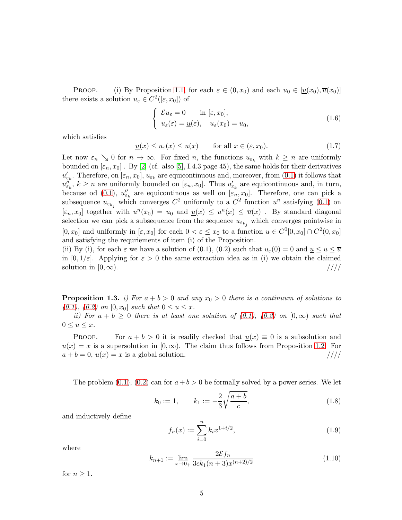PROOF. (i) By Proposition [1.1,](#page-4-1) for each  $\varepsilon \in (0, x_0)$  and each  $u_0 \in [\underline{u}(x_0), \overline{u}(x_0)]$ there exists a solution  $u_{\varepsilon} \in C^2([\varepsilon, x_0])$  of

$$
\begin{cases}\n\mathcal{E}u_{\varepsilon} = 0 & \text{in } [\varepsilon, x_0], \\
u_{\varepsilon}(\varepsilon) = \underline{u}(\varepsilon), & u_{\varepsilon}(x_0) = u_0,\n\end{cases}
$$
\n(1.6)

which satisfies

$$
\underline{u}(x) \le u_{\varepsilon}(x) \le \overline{u}(x) \qquad \text{for all } x \in (\varepsilon, x_0). \tag{1.7}
$$

Let now  $\varepsilon_n \searrow 0$  for  $n \to \infty$ . For fixed n, the functions  $u_{\varepsilon_k}$  with  $k \geq n$  are uniformly bounded on  $[\varepsilon_n, x_0]$ . By [\[2\]](#page-20-4) (cf. also [\[5\]](#page-20-3), I.4.3 page 45), the same holds for their derivatives  $u'_{\varepsilon_k}$ . Therefore, on  $[\varepsilon_n, x_0]$ ,  $u_{\varepsilon_k}$  are equicontinuous and, moreover, from  $(0.1)$  it follows that  $u''_{\varepsilon_k}$ ,  $k \geq n$  are uniformly bounded on  $[\varepsilon_n, x_0]$ . Thus  $u'_{\varepsilon_k}$  are equicontinuous and, in turn, because od [\(0.1\)](#page-1-0),  $u''_{\varepsilon_k}$  are equicontinous as well on  $[\varepsilon_n, x_0]$ . Therefore, one can pick a subsequence  $u_{\varepsilon_{k_j}}$  which converges  $C^2$  uniformly to a  $C^2$  function  $u^n$  satisfying  $(0.1)$  on  $[\varepsilon_n, x_0]$  together with  $u^n(x_0) = u_0$  and  $\underline{u}(x) \leq u^n(x) \leq \overline{u}(x)$ . By standard diagonal selection we can pick a subsequence from the sequence  $u_{\varepsilon_{k_j}}$  which converges pointwise in  $[0, x_0]$  and uniformly in  $[\varepsilon, x_0]$  for each  $0 < \varepsilon \le x_0$  to a function  $u \in C^0[0, x_0] \cap C^2(0, x_0]$ and satisfying the requriements of item (i) of the Proposition.

(ii) By (i), for each  $\varepsilon$  we have a solution of (0.1), (0.2) such that  $u_{\varepsilon}(0) = 0$  and  $\underline{u} \le u \le \overline{u}$ in  $[0, 1/\varepsilon]$ . Applying for  $\varepsilon > 0$  the same extraction idea as in (i) we obtain the claimed solution in  $[0,\infty)$ . /////

<span id="page-5-1"></span>**Proposition 1.3.** i) For  $a + b > 0$  and any  $x<sub>0</sub> > 0$  there is a continuum of solutions to [\(0.1\)](#page-1-0), [\(0.2\)](#page-1-1) on  $[0, x_0]$  such that  $0 \le u \le x$ .

ii) For  $a + b \geq 0$  there is at least one solution of  $(0.1)$ ,  $(0.2)$  on  $[0, \infty)$  such that  $0 \le u \le x$ .

PROOF. For  $a + b > 0$  it is readily checked that  $u(x) \equiv 0$  is a subsolution and  $\overline{u}(x) = x$  is a supersolution in  $[0, \infty)$ . The claim thus follows from Proposition [1.2.](#page-4-2) For  $a + b = 0$ ,  $u(x) = x$  is a global solution.  $\frac{\frac{1}{1}}{\frac{1}{1}}$  $a + b = 0$ ,  $u(x) = x$  is a global solution.

The problem  $(0.1)$ ,  $(0.2)$  can for  $a + b > 0$  be formally solved by a power series. We let

$$
k_0 := 1, \qquad k_1 := -\frac{2}{3} \sqrt{\frac{a+b}{c}}, \tag{1.8}
$$

and inductively define

<span id="page-5-0"></span>
$$
f_n(x) := \sum_{i=0}^n k_i x^{1+i/2},\tag{1.9}
$$

where

$$
k_{n+1} := \lim_{x \to 0+} \frac{2\mathcal{E}f_n}{3ck_1(n+3)x^{(n+2)/2}}
$$
(1.10)

for  $n \geq 1$ .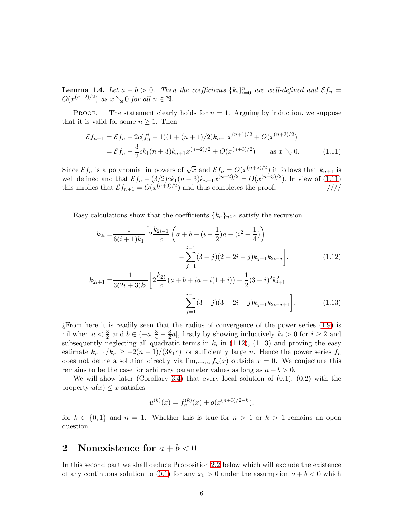**Lemma 1.4.** Let  $a + b > 0$ . Then the coefficients  $\{k_i\}_{i=0}^n$  are well-defined and  $\mathcal{E}f_n =$  $O(x^{(n+2)/2})$  as  $x \searrow 0$  for all  $n \in \mathbb{N}$ .

PROOF. The statement clearly holds for  $n = 1$ . Arguing by induction, we suppose that it is valid for some  $n \geq 1$ . Then

<span id="page-6-0"></span>
$$
\mathcal{E}f_{n+1} = \mathcal{E}f_n - 2c(f'_n - 1)(1 + (n+1)/2)k_{n+1}x^{(n+1)/2} + O(x^{(n+3)/2})
$$
  
=  $\mathcal{E}f_n - \frac{3}{2}ck_1(n+3)k_{n+1}x^{(n+2)/2} + O(x^{(n+3)/2})$  as  $x \searrow 0$ . (1.11)

Since  $\mathcal{E} f_n$  is a polynomial in powers of  $\sqrt{x}$  and  $\mathcal{E} f_n = O(x^{(n+2)/2})$  it follows that  $k_{n+1}$  is well defined and that  $\mathcal{E}f_n - (3/2)ck_1(n+3)k_{n+1}x^{(n+2)/2} = O(x^{(n+3)/2})$ . In view of [\(1.11\)](#page-6-0) this implies that  $\mathcal{E}f_{n+1} = O(x^{(n+3)/2})$  and thus completes the proof. /////

Easy calculations show that the coefficients  ${k_n}_{n\geq 2}$  satisfy the recursion

$$
k_{2i} = \frac{1}{6(i+1)k_1} \left[ 2\frac{k_{2i-1}}{c} \left( a+b+(i-\frac{1}{2})a-(i^2-\frac{1}{4}) \right) - \sum_{j=1}^{i-1} (3+j)(2+2i-j)k_{j+1}k_{2i-j} \right],
$$
\n(1.12)

$$
k_{2i+1} = \frac{1}{3(2i+3)k_1} \left[ 2\frac{k_{2i}}{c} \left( a+b+ia-i(1+i) \right) - \frac{1}{2}(3+i)^2 k_{i+1}^2 - \sum_{j=1}^{i-1} (3+j)(3+2i-j)k_{j+1}k_{2i-j+1} \right].
$$
 (1.13)

¿From here it is readily seen that the radius of convergence of the power series [\(1.9\)](#page-5-0) is nil when  $a < \frac{3}{2}$  and  $b \in (-a, \frac{3}{4} - \frac{3}{2})$  $\frac{3}{2}a$ , firstly by showing inductively  $k_i > 0$  for  $i \geq 2$  and subsequently neglecting all quadratic terms in  $k_i$  in [\(1.12\)](#page-6-1), [\(1.13\)](#page-6-2) and proving the easy estimate  $k_{n+1}/k_n \geq -2(n-1)/(3k_1c)$  for sufficiently large n. Hence the power series  $f_n$ does not define a solution directly via  $\lim_{n\to\infty} f_n(x)$  outside  $x = 0$ . We conjecture this remains to be the case for arbitrary parameter values as long as  $a + b > 0$ .

We will show later (Corollary [3.4\)](#page-12-0) that every local solution of  $(0.1)$ ,  $(0.2)$  with the property  $u(x) \leq x$  satisfies

<span id="page-6-2"></span><span id="page-6-1"></span>
$$
u^{(k)}(x) = f_n^{(k)}(x) + o(x^{(n+3)/2-k}),
$$

for  $k \in \{0,1\}$  and  $n = 1$ . Whether this is true for  $n > 1$  or  $k > 1$  remains an open question.

#### 2 Nonexistence for  $a + b < 0$

In this second part we shall deduce Proposition [2.2](#page-8-0) below which will exclude the existence of any continuous solution to [\(0.1\)](#page-1-0) for any  $x_0 > 0$  under the assumption  $a + b < 0$  which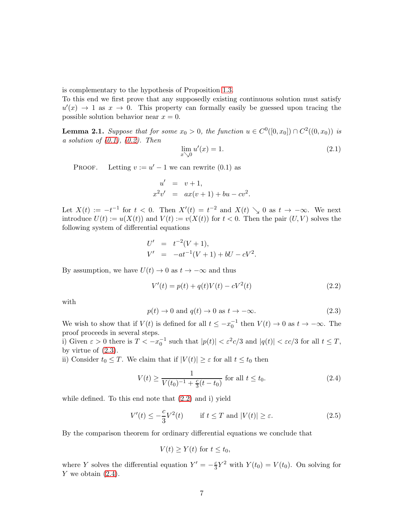is complementary to the hypothesis of Proposition [1.3.](#page-5-1)

To this end we first prove that any supposedly existing continuous solution must satisfy  $u'(x) \to 1$  as  $x \to 0$ . This property can formally easily be guessed upon tracing the possible solution behavior near  $x = 0$ .

<span id="page-7-4"></span>**Lemma 2.1.** Suppose that for some  $x_0 > 0$ , the function  $u \in C^0([0, x_0]) \cap C^2((0, x_0))$  is a solution of  $(0.1)$ ,  $(0.2)$ . Then

<span id="page-7-5"></span>
$$
\lim_{x \searrow 0} u'(x) = 1. \tag{2.1}
$$

PROOF. Letting  $v := u' - 1$  we can rewrite  $(0.1)$  as

$$
u' = v + 1,x2v' = ax(v + 1) + bu - cv2.
$$

Let  $X(t) := -t^{-1}$  for  $t < 0$ . Then  $X'(t) = t^{-2}$  and  $X(t) \searrow 0$  as  $t \to -\infty$ . We next introduce  $U(t) := u(X(t))$  and  $V(t) := v(X(t))$  for  $t < 0$ . Then the pair  $(U, V)$  solves the following system of differential equations

$$
U' = t^{-2}(V+1),
$$
  
\n
$$
V' = -at^{-1}(V+1) + bU - cV^{2}.
$$

By assumption, we have  $U(t) \to 0$  as  $t \to -\infty$  and thus

<span id="page-7-1"></span>
$$
V'(t) = p(t) + q(t)V(t) - cV^{2}(t)
$$
\n(2.2)

with

<span id="page-7-0"></span>
$$
p(t) \to 0 \text{ and } q(t) \to 0 \text{ as } t \to -\infty. \tag{2.3}
$$

We wish to show that if  $V(t)$  is defined for all  $t \le -x_0^{-1}$  then  $V(t) \to 0$  as  $t \to -\infty$ . The proof proceeds in several steps.

i) Given  $\varepsilon > 0$  there is  $T < -x_0^{-1}$  such that  $|p(t)| < \varepsilon^2 c/3$  and  $|q(t)| < \varepsilon c/3$  for all  $t \leq T$ , by virtue of  $(2.3)$ .

ii) Consider  $t_0 \leq T$ . We claim that if  $|V(t)| \geq \varepsilon$  for all  $t \leq t_0$  then

<span id="page-7-2"></span>
$$
V(t) \ge \frac{1}{V(t_0)^{-1} + \frac{c}{3}(t - t_0)} \text{ for all } t \le t_0.
$$
 (2.4)

while defined. To this end note that [\(2.2\)](#page-7-1) and i) yield

<span id="page-7-3"></span>
$$
V'(t) \le -\frac{c}{3}V^2(t) \qquad \text{if } t \le T \text{ and } |V(t)| \ge \varepsilon. \tag{2.5}
$$

By the comparison theorem for ordinary differential equations we conclude that

$$
V(t) \ge Y(t) \text{ for } t \le t_0,
$$

where Y solves the differential equation  $Y' = -\frac{c}{3}$  $\frac{c}{3}Y^2$  with  $Y(t_0) = V(t_0)$ . On solving for  $Y$  we obtain  $(2.4)$ .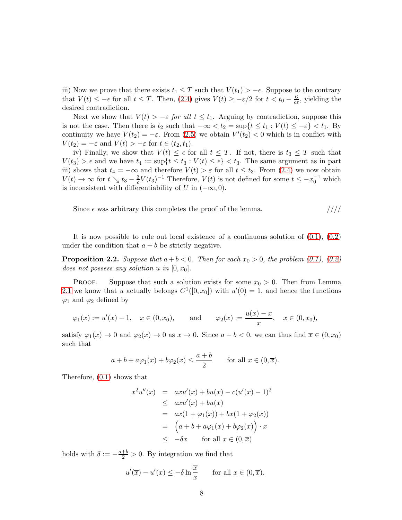iii) Now we prove that there exists  $t_1 \leq T$  such that  $V(t_1) > -\epsilon$ . Suppose to the contrary that  $V(t) \le -\epsilon$  for all  $t \le T$ . Then, [\(2.4\)](#page-7-2) gives  $V(t) \ge -\epsilon/2$  for  $t < t_0 - \frac{6}{c\epsilon}$  $\frac{6}{c\varepsilon}$ , yielding the desired contradiction.

Next we show that  $V(t) > -\varepsilon$  for all  $t \leq t_1$ . Arguing by contradiction, suppose this is not the case. Then there is  $t_2$  such that  $-\infty < t_2 = \sup\{t \le t_1 : V(t) \le -\varepsilon\} < t_1$ . By continuity we have  $V(t_2) = -\varepsilon$ . From [\(2.5\)](#page-7-3) we obtain  $V'(t_2) < 0$  which is in conflict with  $V(t_2) = -\varepsilon$  and  $V(t) > -\varepsilon$  for  $t \in (t_2, t_1)$ .

iv) Finally, we show that  $V(t) \leq \epsilon$  for all  $t \leq T$ . If not, there is  $t_3 \leq T$  such that  $V(t_3) > \epsilon$  and we have  $t_4 := \sup\{t \le t_3 : V(t) \le \epsilon\} < t_3$ . The same argument as in part iii) shows that  $t_4 = -\infty$  and therefore  $V(t) > \varepsilon$  for all  $t \leq t_3$ . From [\(2.4\)](#page-7-2) we now obtain  $V(t) \rightarrow \infty$  for  $t \searrow t_3 - \frac{3}{c}$  $\frac{3}{c}V(t_3)^{-1}$  Therefore,  $V(t)$  is not defined for some  $t \leq -x_0^{-1}$  which is inconsistent with differentiability of U in  $(-\infty, 0)$ .

Since  $\epsilon$  was arbitrary this completes the proof of the lemma.  $////$ 

It is now possible to rule out local existence of a continuous solution of  $(0.1)$ ,  $(0.2)$ under the condition that  $a + b$  be strictly negative.

<span id="page-8-0"></span>**Proposition 2.2.** Suppose that  $a + b < 0$ . Then for each  $x<sub>0</sub> > 0$ , the problem [\(0.1\)](#page-1-0), [\(0.2\)](#page-1-1) does not possess any solution u in  $[0, x_0]$ .

PROOF. Suppose that such a solution exists for some  $x_0 > 0$ . Then from Lemma [2.1](#page-7-4) we know that u actually belongs  $C^1([0, x_0])$  with  $u'(0) = 1$ , and hence the functions  $\varphi_1$  and  $\varphi_2$  defined by

$$
\varphi_1(x) := u'(x) - 1, \quad x \in (0, x_0), \quad \text{and} \quad \varphi_2(x) := \frac{u(x) - x}{x}, \quad x \in (0, x_0),
$$

satisfy  $\varphi_1(x) \to 0$  and  $\varphi_2(x) \to 0$  as  $x \to 0$ . Since  $a + b < 0$ , we can thus find  $\overline{x} \in (0, x_0)$ such that

$$
a + b + a\varphi_1(x) + b\varphi_2(x) \le \frac{a+b}{2}
$$
 for all  $x \in (0, \overline{x})$ .

Therefore, [\(0.1\)](#page-1-0) shows that

$$
x^{2}u''(x) = axu'(x) + bu(x) - c(u'(x) - 1)^{2}
$$
  
\n
$$
\leq axu'(x) + bu(x)
$$
  
\n
$$
= ax(1 + \varphi_{1}(x)) + bx(1 + \varphi_{2}(x))
$$
  
\n
$$
= (a + b + a\varphi_{1}(x) + b\varphi_{2}(x)) \cdot x
$$
  
\n
$$
\leq -\delta x \quad \text{for all } x \in (0, \overline{x})
$$

holds with  $\delta := -\frac{a+b}{2} > 0$ . By integration we find that

$$
u'(\overline{x}) - u'(x) \le -\delta \ln \frac{\overline{x}}{x} \quad \text{for all } x \in (0, \overline{x}).
$$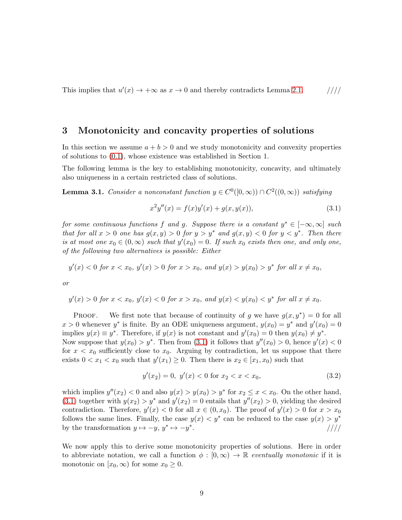This implies that  $u'(x) \to +\infty$  as  $x \to 0$  and thereby contradicts Lemma [2.1.](#page-7-4) /////

#### 3 Monotonicity and concavity properties of solutions

In this section we assume  $a + b > 0$  and we study monotonicity and convexity properties of solutions to [\(0.1\)](#page-1-0), whose existence was established in Section 1.

The following lemma is the key to establishing monotonicity, concavity, and ultimately also uniqueness in a certain restricted class of solutions.

<span id="page-9-1"></span>**Lemma 3.1.** Consider a nonconstant function  $y \in C^0([0,\infty)) \cap C^2((0,\infty))$  satisfying

<span id="page-9-0"></span>
$$
x^{2}y''(x) = f(x)y'(x) + g(x, y(x)),
$$
\n(3.1)

for some continuous functions f and g. Suppose there is a constant  $y^* \in [-\infty, \infty]$  such that for all  $x > 0$  one has  $g(x, y) > 0$  for  $y > y^*$  and  $g(x, y) < 0$  for  $y < y^*$ . Then there is at most one  $x_0 \in (0,\infty)$  such that  $y'(x_0) = 0$ . If such  $x_0$  exists then one, and only one, of the following two alternatives is possible: Either

$$
y'(x) < 0
$$
 for  $x < x_0$ ,  $y'(x) > 0$  for  $x > x_0$ , and  $y(x) > y(x_0) > y^*$  for all  $x \neq x_0$ ,

or

$$
y'(x) > 0
$$
 for  $x < x_0$ ,  $y'(x) < 0$  for  $x > x_0$ , and  $y(x) < y(x_0) < y^*$  for all  $x \neq x_0$ .

**PROOF.** We first note that because of continuity of g we have  $g(x, y^*) = 0$  for all  $x > 0$  whenever  $y^*$  is finite. By an ODE uniqueness argument,  $y(x_0) = y^*$  and  $y'(x_0) = 0$ implies  $y(x) \equiv y^*$ . Therefore, if  $y(x)$  is not constant and  $y'(x_0) = 0$  then  $y(x_0) \neq y^*$ . Now suppose that  $y(x_0) > y^*$ . Then from [\(3.1\)](#page-9-0) it follows that  $y''(x_0) > 0$ , hence  $y'(x) < 0$ for  $x < x_0$  sufficiently close to  $x_0$ . Arguing by contradiction, let us suppose that there exists  $0 < x_1 < x_0$  such that  $y'(x_1) \ge 0$ . Then there is  $x_2 \in [x_1, x_0)$  such that

$$
y'(x_2) = 0, \ y'(x) < 0 \text{ for } x_2 < x < x_0,\tag{3.2}
$$

which implies  $y''(x_2) < 0$  and also  $y(x) > y(x_0) > y^*$  for  $x_2 \le x < x_0$ . On the other hand, [\(3.1\)](#page-9-0) together with  $y(x_2) > y^*$  and  $y'(x_2) = 0$  entails that  $y''(x_2) > 0$ , yielding the desired contradiction. Therefore,  $y'(x) < 0$  for all  $x \in (0, x_0)$ . The proof of  $y'(x) > 0$  for  $x > x_0$ follows the same lines. Finally, the case  $y(x) < y^*$  can be reduced to the case  $y(x) > y^*$ by the transformation  $y \mapsto -y, y^* \mapsto -y^*$ . /////

We now apply this to derive some monotonicity properties of solutions. Here in order to abbreviate notation, we call a function  $\phi : [0, \infty) \to \mathbb{R}$  eventually monotonic if it is monotonic on  $[x_0, \infty)$  for some  $x_0 \geq 0$ .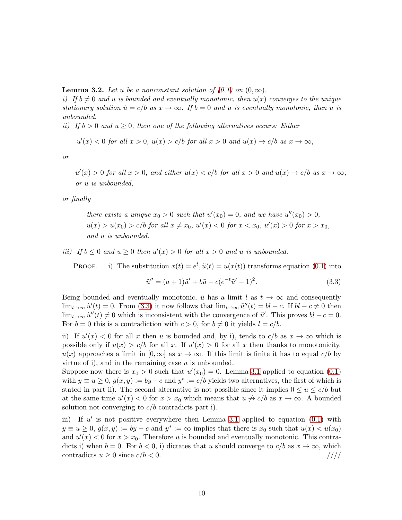<span id="page-10-1"></span>**Lemma 3.2.** Let u be a nonconstant solution of  $(0.1)$  on  $(0,\infty)$ .

i) If  $b \neq 0$  and u is bounded and eventually monotonic, then  $u(x)$  converges to the unique stationary solution  $\hat{u} = c/b$  as  $x \to \infty$ . If  $b = 0$  and u is eventually monotonic, then u is unbounded.

ii) If  $b > 0$  and  $u \geq 0$ , then one of the following alternatives occurs: Either

$$
u'(x) < 0 \text{ for all } x > 0, u(x) > c/b \text{ for all } x > 0 \text{ and } u(x) \to c/b \text{ as } x \to \infty,
$$

or

 $u'(x) > 0$  for all  $x > 0$ , and either  $u(x) < c/b$  for all  $x > 0$  and  $u(x) \to c/b$  as  $x \to \infty$ , or u is unbounded,

or finally

there exists a unique  $x_0 > 0$  such that  $u'(x_0) = 0$ , and we have  $u''(x_0) > 0$ ,  $u(x) > u(x_0) > c/b$  for all  $x \neq x_0$ ,  $u'(x) < 0$  for  $x < x_0$ ,  $u'(x) > 0$  for  $x > x_0$ , and u is unbounded.

iii) If  $b \leq 0$  and  $u \geq 0$  then  $u'(x) > 0$  for all  $x > 0$  and u is unbounded.

PROOF. i) The substitution  $x(t) = e^t$ ,  $\tilde{u}(t) = u(x(t))$  transforms equation [\(0.1\)](#page-1-0) into

<span id="page-10-0"></span>
$$
\tilde{u}'' = (a+1)\tilde{u}' + b\tilde{u} - c(e^{-t}\tilde{u}' - 1)^2.
$$
\n(3.3)

Being bounded and eventually monotonic,  $\tilde{u}$  has a limit l as  $t \to \infty$  and consequently  $\lim_{t\to\infty} \tilde{u}'(t) = 0$ . From [\(3.3\)](#page-10-0) it now follows that  $\lim_{t\to\infty} \tilde{u}''(t) = bl - c$ . If  $bl - c \neq 0$  then  $\lim_{t\to\infty} \tilde{u}''(t) \neq 0$  which is inconsistent with the convergence of  $\tilde{u}'$ . This proves  $bl - c = 0$ . For  $b = 0$  this is a contradiction with  $c > 0$ , for  $b \neq 0$  it yields  $l = c/b$ .

ii) If  $u'(x) < 0$  for all x then u is bounded and, by i), tends to  $c/b$  as  $x \to \infty$  which is possible only if  $u(x) > c/b$  for all x. If  $u'(x) > 0$  for all x then thanks to monotonicity,  $u(x)$  approaches a limit in  $[0,\infty]$  as  $x \to \infty$ . If this limit is finite it has to equal  $c/b$  by virtue of i), and in the remaining case  $u$  is unbounded.

Suppose now there is  $x_0 > 0$  such that  $u'(x_0) = 0$ . Lemma [3.1](#page-9-1) applied to equation [\(0.1\)](#page-1-0) with  $y \equiv u \ge 0$ ,  $g(x, y) := by -c$  and  $y^* := c/b$  yields two alternatives, the first of which is stated in part ii). The second alternative is not possible since it implies  $0 \le u \le c/b$  but at the same time  $u'(x) < 0$  for  $x > x_0$  which means that  $u \nightharpoonup c/b$  as  $x \to \infty$ . A bounded solution not converging to  $c/b$  contradicts part i).

iii) If  $u'$  is not positive everywhere then Lemma [3.1](#page-9-1) applied to equation  $(0.1)$  with  $y \equiv u \geq 0, g(x, y) := by - c$  and  $y^* := \infty$  implies that there is  $x_0$  such that  $u(x) < u(x_0)$ and  $u'(x) < 0$  for  $x > x_0$ . Therefore u is bounded and eventually monotonic. This contradicts i) when  $b = 0$ . For  $b < 0$ , i) dictates that u should converge to  $c/b$  as  $x \to \infty$ , which contradicts  $u \ge 0$  since  $c/b < 0$ . contradicts  $u \geq 0$  since  $c/b < 0$ .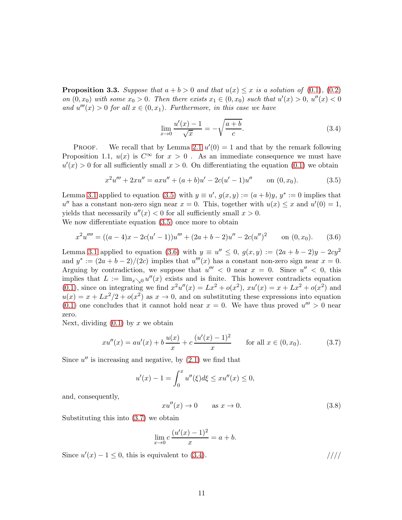<span id="page-11-4"></span>**Proposition 3.3.** Suppose that  $a + b > 0$  and that  $u(x) \leq x$  is a solution of [\(0.1\)](#page-1-0), [\(0.2\)](#page-1-1) on  $(0, x_0)$  with some  $x_0 > 0$ . Then there exists  $x_1 \in (0, x_0)$  such that  $u'(x) > 0$ ,  $u''(x) < 0$ and  $u'''(x) > 0$  for all  $x \in (0, x_1)$ . Furthermore, in this case we have

<span id="page-11-3"></span>
$$
\lim_{x \to 0} \frac{u'(x) - 1}{\sqrt{x}} = -\sqrt{\frac{a+b}{c}}.
$$
\n(3.4)

**PROOF.** We recall that by Lemma [2.1](#page-7-4)  $u'(0) = 1$  and that by the remark following Proposition 1.1,  $u(x)$  is  $C^{\infty}$  for  $x > 0$ . As an immediate consequence we must have  $u'(x) > 0$  for all sufficiently small  $x > 0$ . On differentiating the equation  $(0.1)$  we obtain

<span id="page-11-0"></span>
$$
x^{2}u''' + 2xu'' = axu'' + (a+b)u' - 2c(u'-1)u'' \qquad \text{on } (0, x_{0}).
$$
 (3.5)

Lemma [3.1](#page-9-1) applied to equation [\(3.5\)](#page-11-0) with  $y \equiv u'$ ,  $g(x, y) := (a + b)y$ ,  $y^* := 0$  implies that  $u''$  has a constant non-zero sign near  $x = 0$ . This, together with  $u(x) \leq x$  and  $u'(0) = 1$ , yields that necessarily  $u''(x) < 0$  for all sufficiently small  $x > 0$ .

We now differentiate equation [\(3.5\)](#page-11-0) once more to obtain

<span id="page-11-1"></span>
$$
x^{2}u'''' = ((a-4)x - 2c(u'-1))u''' + (2a+b-2)u'' - 2c(u'')^{2} \qquad \text{on } (0, x_{0}).
$$
 (3.6)

Lemma [3.1](#page-9-1) applied to equation [\(3.6\)](#page-11-1) with  $y \equiv u'' \leq 0$ ,  $g(x, y) := (2a + b - 2)y - 2cy^2$ and  $y^* := (2a + b - 2)/(2c)$  implies that  $u'''(x)$  has a constant non-zero sign near  $x = 0$ . Arguing by contradiction, we suppose that  $u''' < 0$  near  $x = 0$ . Since  $u'' < 0$ , this implies that  $L := \lim_{x \searrow 0} u''(x)$  exists and is finite. This however contradicts equation [\(0.1\)](#page-1-0), since on integrating we find  $x^2u''(x) = Lx^2 + o(x^2)$ ,  $xu'(x) = x + Lx^2 + o(x^2)$  and  $u(x) = x + Lx^2/2 + o(x^2)$  as  $x \to 0$ , and on substituting these expressions into equation  $(0.1)$  one concludes that it cannot hold near  $x = 0$ . We have thus proved  $u''' > 0$  near zero.

Next, dividing  $(0.1)$  by x we obtain

<span id="page-11-2"></span>
$$
xu''(x) = au'(x) + b\frac{u(x)}{x} + c\frac{(u'(x) - 1)^2}{x} \quad \text{for all } x \in (0, x_0). \tag{3.7}
$$

Since  $u''$  is increasing and negative, by  $(2.1)$  we find that

$$
u'(x) - 1 = \int_0^x u''(\xi) d\xi \le xu''(x) \le 0,
$$

and, consequently,

$$
xu''(x) \to 0 \qquad \text{as } x \to 0. \tag{3.8}
$$

Substituting this into [\(3.7\)](#page-11-2) we obtain

$$
\lim_{x \to 0} c \frac{(u'(x) - 1)^2}{x} = a + b.
$$

Since  $u'(x) - 1 \leq 0$ , this is equivalent to [\(3.4\)](#page-11-3).  $\frac{1}{1}$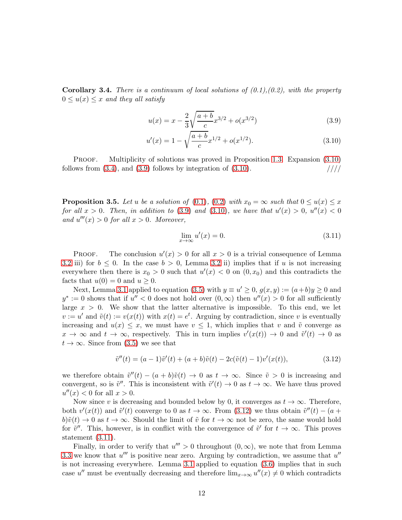<span id="page-12-0"></span>**Corollary 3.4.** There is a continuum of local solutions of  $(0.1), (0.2)$ , with the property  $0 \le u(x) \le x$  and they all satisfy

<span id="page-12-3"></span>
$$
u(x) = x - \frac{2}{3} \sqrt{\frac{a+b}{c}} x^{3/2} + o(x^{3/2})
$$
\n(3.9)

$$
u'(x) = 1 - \sqrt{\frac{a+b}{c}} x^{1/2} + o(x^{1/2}).
$$
\n(3.10)

PROOF. Multiplicity of solutions was proved in Proposition [1.3.](#page-5-1) Expansion  $(3.10)$ follows from  $(3.4)$ , and  $(3.9)$  follows by integration of  $(3.10)$ .  $\frac{1}{1}$ 

<span id="page-12-1"></span>**Proposition 3.5.** Let u be a solution of [\(0.1\)](#page-1-0), [\(0.2\)](#page-1-1) with  $x_0 = \infty$  such that  $0 \le u(x) \le x$ for all  $x > 0$ . Then, in addition to [\(3.9\)](#page-12-3) and [\(3.10\)](#page-12-2), we have that  $u'(x) > 0$ ,  $u''(x) < 0$ and  $u'''(x) > 0$  for all  $x > 0$ . Moreover,

<span id="page-12-5"></span><span id="page-12-2"></span>
$$
\lim_{x \to \infty} u'(x) = 0. \tag{3.11}
$$

**PROOF.** The conclusion  $u'(x) > 0$  for all  $x > 0$  is a trivial consequence of Lemma [3.2](#page-10-1) iii) for  $b \leq 0$ . In the case  $b > 0$ , Lemma [3.2](#page-10-1) ii) implies that if u is not increasing everywhere then there is  $x_0 > 0$  such that  $u'(x) < 0$  on  $(0, x_0)$  and this contradicts the facts that  $u(0) = 0$  and  $u \ge 0$ .

Next, Lemma [3.1](#page-9-1) applied to equation [\(3.5\)](#page-11-0) with  $y \equiv u' \ge 0$ ,  $g(x, y) := (a + b)y \ge 0$  and  $y^* := 0$  shows that if  $u'' < 0$  does not hold over  $(0, \infty)$  then  $u''(x) > 0$  for all sufficiently large  $x > 0$ . We show that the latter alternative is impossible. To this end, we let  $v := u'$  and  $\tilde{v}(t) := v(x(t))$  with  $x(t) = e^t$ . Arguing by contradiction, since v is eventually increasing and  $u(x) \leq x$ , we must have  $v \leq 1$ , which implies that v and  $\tilde{v}$  converge as  $x \to \infty$  and  $t \to \infty$ , respectively. This in turn implies  $v'(x(t)) \to 0$  and  $\tilde{v}'(t) \to 0$  as  $t \to \infty$ . Since from [\(3.5\)](#page-11-0) we see that

<span id="page-12-4"></span>
$$
\tilde{v}''(t) = (a-1)\tilde{v}'(t) + (a+b)\tilde{v}(t) - 2c(\tilde{v}(t)-1)v'(x(t)),
$$
\n(3.12)

we therefore obtain  $\tilde{v}''(t) - (a + b)\tilde{v}(t) \to 0$  as  $t \to \infty$ . Since  $\tilde{v} > 0$  is increasing and convergent, so is  $\tilde{v}''$ . This is inconsistent with  $\tilde{v}'(t) \to 0$  as  $t \to \infty$ . We have thus proved  $u''(x) < 0$  for all  $x > 0$ .

Now since v is decreasing and bounded below by 0, it converges as  $t \to \infty$ . Therefore, both  $v'(x(t))$  and  $\tilde{v}'(t)$  converge to 0 as  $t \to \infty$ . From [\(3.12\)](#page-12-4) we thus obtain  $\tilde{v}''(t) - (a +$  $b)\tilde{v}(t) \to 0$  as  $t \to \infty$ . Should the limit of  $\tilde{v}$  for  $t \to \infty$  not be zero, the same would hold for  $\tilde{v}''$ . This, however, is in conflict with the convergence of  $\tilde{v}'$  for  $t \to \infty$ . This proves statement [\(3.11\)](#page-12-5).

Finally, in order to verify that  $u''' > 0$  throughout  $(0, \infty)$ , we note that from Lemma [3.3](#page-11-4) we know that  $u'''$  is positive near zero. Arguing by contradiction, we assume that  $u''$ is not increasing everywhere. Lemma [3.1](#page-9-1) applied to equation [\(3.6\)](#page-11-1) implies that in such case u'' must be eventually decreasing and therefore  $\lim_{x\to\infty} u''(x) \neq 0$  which contradicts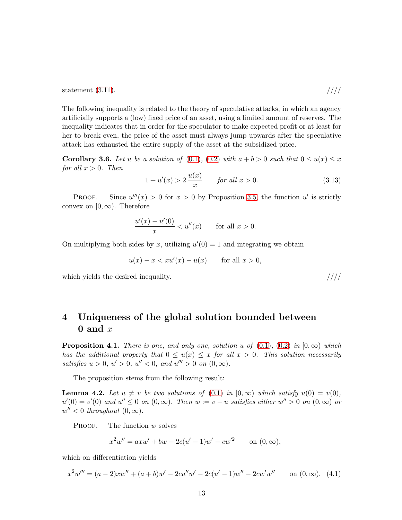statement  $(3.11)$ . /////

The following inequality is related to the theory of speculative attacks, in which an agency artificially supports a (low) fixed price of an asset, using a limited amount of reserves. The inequality indicates that in order for the speculator to make expected profit or at least for her to break even, the price of the asset must always jump upwards after the speculative attack has exhausted the entire supply of the asset at the subsidized price.

**Corollary 3.6.** Let u be a solution of [\(0.1\)](#page-1-0), [\(0.2\)](#page-1-1) with  $a + b > 0$  such that  $0 \le u(x) \le x$ for all  $x > 0$ . Then

$$
1 + u'(x) > 2\frac{u(x)}{x} \qquad \text{for all } x > 0. \tag{3.13}
$$

**PROOF.** Since  $u'''(x) > 0$  for  $x > 0$  by Proposition [3.5,](#page-12-1) the function u' is strictly convex on  $[0, \infty)$ . Therefore

$$
\frac{u'(x) - u'(0)}{x} < u''(x) \qquad \text{for all } x > 0.
$$

On multiplying both sides by x, utilizing  $u'(0) = 1$  and integrating we obtain

$$
u(x) - x < xu'(x) - u(x) \qquad \text{for all } x > 0,
$$

which yields the desired inequality.  $\frac{1}{1}$ 

#### 4 Uniqueness of the global solution bounded between 0 and  $x$

<span id="page-13-0"></span>**Proposition 4.1.** There is one, and only one, solution u of  $(0.1)$ ,  $(0.2)$  in  $[0,\infty)$  which has the additional property that  $0 \le u(x) \le x$  for all  $x > 0$ . This solution necessarily satisfies  $u > 0$ ,  $u' > 0$ ,  $u'' < 0$ , and  $u''' > 0$  on  $(0, \infty)$ .

The proposition stems from the following result:

<span id="page-13-2"></span>**Lemma 4.2.** Let  $u \neq v$  be two solutions of [\(0.1\)](#page-1-0) in  $[0, \infty)$  which satisfy  $u(0) = v(0)$ ,  $u'(0) = v'(0)$  and  $u'' \leq 0$  on  $(0, \infty)$ . Then  $w := v - u$  satisfies either  $w'' > 0$  on  $(0, \infty)$  or  $w'' < 0$  throughout  $(0, \infty)$ .

PROOF. The function  $w$  solves

$$
x^{2}w'' = axw' + bw - 2c(u' - 1)w' - cw'^{2} \qquad \text{on } (0, \infty),
$$

which on differentiation yields

<span id="page-13-1"></span>
$$
x^{2}w''' = (a - 2)xw'' + (a + b)w' - 2cu''w' - 2c(u' - 1)w'' - 2cw'w'' \quad \text{on } (0, \infty). \tag{4.1}
$$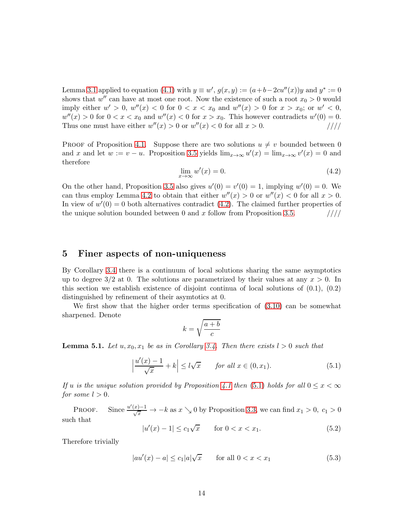Lemma [3.1](#page-9-1) applied to equation [\(4.1\)](#page-13-1) with  $y \equiv w'$ ,  $g(x, y) := (a+b-2cu''(x))y$  and  $y^* := 0$ shows that  $w''$  can have at most one root. Now the existence of such a root  $x_0 > 0$  would imply either  $w' > 0$ ,  $w''(x) < 0$  for  $0 < x < x_0$  and  $w''(x) > 0$  for  $x > x_0$ ; or  $w' < 0$ ,  $w''(x) > 0$  for  $0 < x < x_0$  and  $w''(x) < 0$  for  $x > x_0$ . This however contradicts  $w'(0) = 0$ . Thus one must have either  $w''(x) > 0$  or  $w''(x) < 0$  for all  $x > 0$ . ////

PROOF of Proposition [4.1.](#page-13-0) Suppose there are two solutions  $u \neq v$  bounded between 0 and x and let  $w := v - u$ . Proposition [3.5](#page-12-1) yields  $\lim_{x \to \infty} u'(x) = \lim_{x \to \infty} v'(x) = 0$  and therefore

<span id="page-14-0"></span>
$$
\lim_{x \to \infty} w'(x) = 0. \tag{4.2}
$$

On the other hand, Proposition [3.5](#page-12-1) also gives  $u'(0) = v'(0) = 1$ , implying  $w'(0) = 0$ . We can thus employ Lemma [4.2](#page-13-2) to obtain that either  $w''(x) > 0$  or  $w''(x) < 0$  for all  $x > 0$ . In view of  $w'(0) = 0$  both alternatives contradict [\(4.2\)](#page-14-0). The claimed further properties of the unique solution bounded between 0 and x follow from Proposition [3.5.](#page-12-1)  $\frac{1}{1}$ 

#### 5 Finer aspects of non-uniqueness

By Corollary [3.4](#page-11-3) there is a continuum of local solutions sharing the same asymptotics up to degree  $3/2$  at 0. The solutions are parametrized by their values at any  $x > 0$ . In this section we establish existence of disjoint continua of local solutions of (0.1), (0.2) distinguished by refinement of their asymtotics at 0.

We first show that the higher order terms specification of  $(3.10)$  can be somewhat sharpened. Denote

$$
k = \sqrt{\frac{a+b}{c}}
$$

**Lemma 5.1.** Let  $u, x_0, x_1$  be as in Corollary [3.4.](#page-11-3) Then there exists  $l > 0$  such that

<span id="page-14-1"></span>
$$
\left|\frac{u'(x)-1}{\sqrt{x}}+k\right| \le l\sqrt{x} \qquad \text{for all } x \in (0, x_1). \tag{5.1}
$$

If u is the unique solution provided by Proposition [4.1](#page-13-0) then [\(5.1\)](#page-14-1) holds for all  $0 \leq x < \infty$ for some  $l > 0$ .

PROOF. Since  $\frac{u'(x)-1}{\sqrt{x}} \to -k$  as  $x \searrow 0$  by Proposition [3.3,](#page-11-4) we can find  $x_1 > 0$ ,  $c_1 > 0$ such that

<span id="page-14-2"></span>
$$
|u'(x) - 1| \le c_1 \sqrt{x} \qquad \text{for } 0 < x < x_1. \tag{5.2}
$$

Therefore trivially

$$
|au'(x) - a| \le c_1 |a|\sqrt{x} \qquad \text{for all } 0 < x < x_1 \tag{5.3}
$$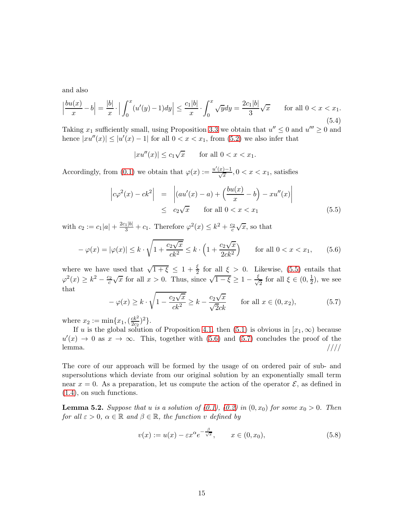and also

$$
\left|\frac{bu(x)}{x} - b\right| = \frac{|b|}{x} \cdot \left| \int_0^x (u'(y) - 1) dy \right| \le \frac{c_1 |b|}{x} \cdot \int_0^x \sqrt{y} dy = \frac{2c_1 |b|}{3} \sqrt{x} \qquad \text{for all } 0 < x < x_1. \tag{5.4}
$$

Taking  $x_1$  sufficiently small, using Proposition [3.3](#page-11-4) we obtain that  $u'' \leq 0$  and  $u''' \geq 0$  and hence  $|xu''(x)| \le |u'(x) - 1|$  for all  $0 < x < x_1$ , from [\(5.2\)](#page-14-2) we also infer that

$$
|xu''(x)| \le c_1\sqrt{x} \qquad \text{for all } 0 < x < x_1.
$$

Accordingly, from [\(0.1\)](#page-1-0) we obtain that  $\varphi(x) := \frac{u'(x)-1}{\sqrt{x}}, 0 < x < x_1$ , satisfies

<span id="page-15-0"></span>
$$
\left| c\varphi^2(x) - ck^2 \right| = \left| \left( au'(x) - a \right) + \left( \frac{bu(x)}{x} - b \right) - xu''(x) \right|
$$
  
 
$$
\leq c_2 \sqrt{x} \qquad \text{for all } 0 < x < x_1 \tag{5.5}
$$

with  $c_2 := c_1|a| + \frac{2c_1|b|}{3} + c_1$ . Therefore  $\varphi^2(x) \leq k^2 + \frac{c_2}{c}\sqrt{x}$ , so that

<span id="page-15-1"></span>
$$
-\varphi(x) = |\varphi(x)| \le k \cdot \sqrt{1 + \frac{c_2\sqrt{x}}{ck^2}} \le k \cdot \left(1 + \frac{c_2\sqrt{x}}{2ck^2}\right) \qquad \text{for all } 0 < x < x_1,\tag{5.6}
$$

where we have used that  $\sqrt{1+\xi} \leq 1+\frac{\xi}{2}$  for all  $\xi > 0$ . Likewise, [\(5.5\)](#page-15-0) entails that  $\varphi^2(x) \geq k^2 - \frac{c_2}{c} \sqrt{x}$  for all  $x > 0$ . Thus, since  $\sqrt{1-\xi} \geq 1 - \frac{\xi}{\sqrt{2}}$  for all  $\xi \in (0, \frac{1}{2})$  $(\frac{1}{2})$ , we see that

<span id="page-15-2"></span>
$$
-\varphi(x) \ge k \cdot \sqrt{1 - \frac{c_2\sqrt{x}}{ck^2}} \ge k - \frac{c_2\sqrt{x}}{\sqrt{2}ck} \qquad \text{for all } x \in (0, x_2),\tag{5.7}
$$

where  $x_2 := \min\{x_1, (\frac{ck^2}{2c_2})\}$  $\frac{ck^2}{2c_2})^2$ .

If u is the global solution of Proposition [4.1,](#page-13-0) then [\(5.1\)](#page-14-1) is obvious in  $[x_1,\infty)$  because  $u'(x) \to 0$  as  $x \to \infty$ . This, together with [\(5.6\)](#page-15-1) and [\(5.7\)](#page-15-2) concludes the proof of the lemma.  $\frac{1}{2}$  /////

The core of our approach will be formed by the usage of on ordered pair of sub- and supersolutions which deviate from our original solution by an exponentially small term near  $x = 0$ . As a preparation, let us compute the action of the operator  $\mathcal{E}$ , as defined in [\(1.4\)](#page-4-3), on such functions.

<span id="page-15-3"></span>**Lemma 5.2.** Suppose that u is a solution of  $(0.1)$ ,  $(0.2)$  in  $(0, x_0)$  for some  $x_0 > 0$ . Then for all  $\varepsilon > 0$ ,  $\alpha \in \mathbb{R}$  and  $\beta \in \mathbb{R}$ , the function v defined by

$$
v(x) := u(x) - \varepsilon x^{\alpha} e^{-\frac{\beta}{\sqrt{x}}}, \qquad x \in (0, x_0), \tag{5.8}
$$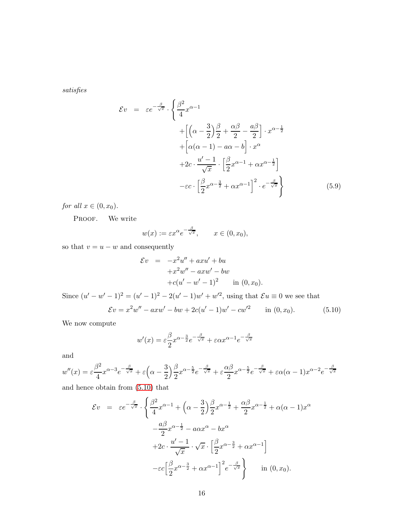satisfies

<span id="page-16-1"></span>
$$
\mathcal{E}v = \varepsilon e^{-\frac{\beta}{\sqrt{x}}} \cdot \left\{ \frac{\beta^2}{4} x^{\alpha - 1} + \left[ \left( \alpha - \frac{3}{2} \right) \frac{\beta}{2} + \frac{\alpha \beta}{2} - \frac{a\beta}{2} \right] \cdot x^{\alpha - \frac{1}{2}} + \left[ \alpha(\alpha - 1) - a\alpha - b \right] \cdot x^{\alpha} + 2c \cdot \frac{u' - 1}{\sqrt{x}} \cdot \left[ \frac{\beta}{2} x^{\alpha - 1} + \alpha x^{\alpha - \frac{1}{2}} \right] - \varepsilon c \cdot \left[ \frac{\beta}{2} x^{\alpha - \frac{3}{2}} + \alpha x^{\alpha - 1} \right]^2 \cdot e^{-\frac{\beta}{\sqrt{x}}} \right\}
$$
(5.9)

for all  $x \in (0, x_0)$ .

PROOF. We write

$$
w(x) := \varepsilon x^{\alpha} e^{-\frac{\beta}{\sqrt{x}}}, \qquad x \in (0, x_0),
$$

so that  $v=u-w$  and consequently

$$
\mathcal{E}v = -x^2u'' + axu' + bu \n+ x^2w'' - axw' - bw \n+ c(u' - w' - 1)^2
$$
 in (0, x<sub>0</sub>).

Since  $(u'-w'-1)^2 = (u'-1)^2 - 2(u'-1)w' + w'^2$ , using that  $\mathcal{E}u \equiv 0$  we see that  $\mathcal{E}v = x^2w'' - axw' - bw + 2c(u' - 1)w' - cw'^2$  in (0, x<sub>0</sub>). (5.10)

We now compute

<span id="page-16-0"></span>
$$
w'(x) = \varepsilon \frac{\beta}{2} x^{\alpha - \frac{3}{2}} e^{-\frac{\beta}{\sqrt{x}}} + \varepsilon \alpha x^{\alpha - 1} e^{-\frac{\beta}{\sqrt{x}}}
$$

and

$$
w''(x) = \varepsilon \frac{\beta^2}{4} x^{\alpha - 3} e^{-\frac{\beta}{\sqrt{x}}} + \varepsilon \left( \alpha - \frac{3}{2} \right) \frac{\beta}{2} x^{\alpha - \frac{5}{2}} e^{-\frac{\beta}{\sqrt{x}}} + \varepsilon \frac{\alpha \beta}{2} x^{\alpha - \frac{5}{2}} e^{-\frac{\beta}{\sqrt{x}}} + \varepsilon \alpha (\alpha - 1) x^{\alpha - 2} e^{-\frac{\beta}{\sqrt{x}}}
$$

and hence obtain from [\(5.10\)](#page-16-0) that

$$
\mathcal{E}v = \varepsilon e^{-\frac{\beta}{\sqrt{x}}} \cdot \left\{ \frac{\beta^2}{4} x^{\alpha - 1} + \left( \alpha - \frac{3}{2} \right) \frac{\beta}{2} x^{\alpha - \frac{1}{2}} + \frac{\alpha \beta}{2} x^{\alpha - \frac{1}{2}} + \alpha (\alpha - 1) x^{\alpha} \right. \\ \left. - \frac{a\beta}{2} x^{\alpha - \frac{1}{2}} - a\alpha x^{\alpha} - bx^{\alpha} \right. \\ \left. + 2c \cdot \frac{u' - 1}{\sqrt{x}} \cdot \sqrt{x} \cdot \left[ \frac{\beta}{2} x^{\alpha - \frac{3}{2}} + \alpha x^{\alpha - 1} \right] \right\} \\ \left. - \varepsilon c \left[ \frac{\beta}{2} x^{\alpha - \frac{3}{2}} + \alpha x^{\alpha - 1} \right]^2 e^{-\frac{\beta}{\sqrt{x}}} \right\} \quad \text{in (0, x_0).}
$$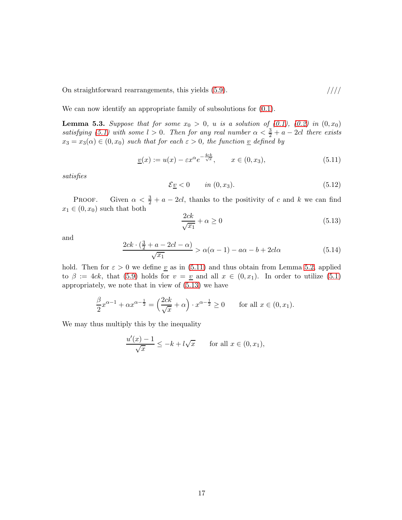On straightforward rearrangements, this yields [\(5.9\)](#page-16-1).  $////$ 

We can now identify an appropriate family of subsolutions for  $(0.1)$ .

<span id="page-17-3"></span>**Lemma 5.3.** Suppose that for some  $x_0 > 0$ , u is a solution of  $(0.1)$ ,  $(0.2)$  in  $(0, x_0)$ satisfying [\(5.1\)](#page-14-1) with some  $l > 0$ . Then for any real number  $\alpha < \frac{3}{2} + a - 2cl$  there exists  $x_3 = x_3(\alpha) \in (0, x_0)$  such that for each  $\varepsilon > 0$ , the function  $\underline{v}$  defined by

<span id="page-17-0"></span>
$$
\underline{v}(x) := u(x) - \varepsilon x^{\alpha} e^{-\frac{4ck}{\sqrt{x}}}, \qquad x \in (0, x_3), \tag{5.11}
$$

satisfies

$$
\mathcal{E}\underline{v} < 0 \qquad \text{in } (0, x_3). \tag{5.12}
$$

PROOF. Given  $\alpha < \frac{3}{2} + a - 2cl$ , thanks to the positivity of c and k we can find  $x_1 \in (0, x_0)$  such that both

<span id="page-17-1"></span>
$$
\frac{2ck}{\sqrt{x_1}} + \alpha \ge 0\tag{5.13}
$$

and

<span id="page-17-2"></span>
$$
\frac{2ck \cdot (\frac{3}{2} + a - 2cl - \alpha)}{\sqrt{x_1}} > \alpha(\alpha - 1) - a\alpha - b + 2cl\alpha
$$
 (5.14)

hold. Then for  $\varepsilon > 0$  we define <u>v</u> as in [\(5.11\)](#page-17-0) and thus obtain from Lemma [5.2,](#page-15-3) applied to  $\beta := 4ck$ , that [\(5.9\)](#page-16-1) holds for  $v = v$  and all  $x \in (0, x_1)$ . In order to utilize [\(5.1\)](#page-14-1) appropriately, we note that in view of [\(5.13\)](#page-17-1) we have

$$
\frac{\beta}{2}x^{\alpha-1} + \alpha x^{\alpha - \frac{1}{2}} = \left(\frac{2ck}{\sqrt{x}} + \alpha\right) \cdot x^{\alpha - \frac{1}{2}} \ge 0 \quad \text{for all } x \in (0, x_1).
$$

We may thus multiply this by the inequality

$$
\frac{u'(x) - 1}{\sqrt{x}} \le -k + l\sqrt{x} \quad \text{for all } x \in (0, x_1),
$$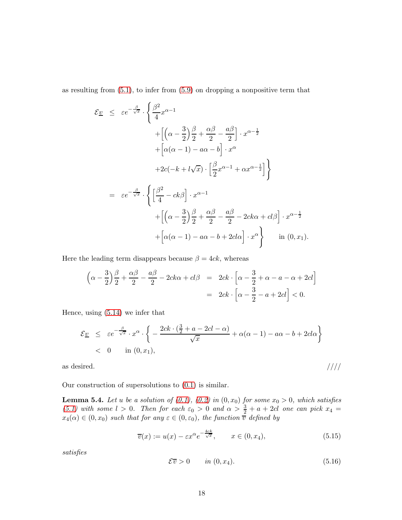as resulting from [\(5.1\)](#page-14-1), to infer from [\(5.9\)](#page-16-1) on dropping a nonpositive term that

$$
\mathcal{E}_{\underline{v}} \leq \varepsilon e^{-\frac{\beta}{\sqrt{x}}} \cdot \left\{ \frac{\beta^2}{4} x^{\alpha - 1} + \left[ \left( \alpha - \frac{3}{2} \right) \frac{\beta}{2} + \frac{\alpha \beta}{2} - \frac{a\beta}{2} \right] \cdot x^{\alpha - \frac{1}{2}} + \left[ \alpha(\alpha - 1) - a\alpha - b \right] \cdot x^{\alpha} + 2c(-k + l\sqrt{x}) \cdot \left[ \frac{\beta}{2} x^{\alpha - 1} + \alpha x^{\alpha - \frac{1}{2}} \right] \right\}
$$
  
=  $\varepsilon e^{-\frac{\beta}{\sqrt{x}}} \cdot \left\{ \left[ \frac{\beta^2}{4} - ck\beta \right] \cdot x^{\alpha - 1} + \left[ \left( \alpha - \frac{3}{2} \right) \frac{\beta}{2} + \frac{\alpha \beta}{2} - \frac{a\beta}{2} - 2ck\alpha + cl\beta \right] \cdot x^{\alpha - \frac{1}{2}} + \left[ \alpha(\alpha - 1) - a\alpha - b + 2cl\alpha \right] \cdot x^{\alpha} \right\} \text{ in } (0, x_1).$ 

Here the leading term disappears because  $\beta = 4ck$ , whereas

$$
\left(\alpha - \frac{3}{2}\right)\frac{\beta}{2} + \frac{\alpha\beta}{2} - \frac{a\beta}{2} - 2ck\alpha + cl\beta = 2ck \cdot \left[\alpha - \frac{3}{2} + \alpha - a - \alpha + 2cl\right]
$$

$$
= 2ck \cdot \left[\alpha - \frac{3}{2} - a + 2cl\right] < 0.
$$

Hence, using [\(5.14\)](#page-17-2) we infer that

$$
\mathcal{E}_{\underline{v}} \leq \varepsilon e^{-\frac{\beta}{\sqrt{x}}}\cdot x^{\alpha}\cdot \left\{-\frac{2ck\cdot (\frac{3}{2}+a-2cl-\alpha)}{\sqrt{x}}+\alpha(\alpha-1)-a\alpha-b+2cl\alpha\right\}
$$
  
< 0 in (0, x<sub>1</sub>),

as desired.  $/////$ 

Our construction of supersolutions to [\(0.1\)](#page-1-0) is similar.

<span id="page-18-1"></span>**Lemma 5.4.** Let u be a solution of  $(0.1)$ ,  $(0.2)$  in  $(0, x_0)$  for some  $x_0 > 0$ , which satisfies [\(5.1\)](#page-14-1) with some  $l > 0$ . Then for each  $\varepsilon_0 > 0$  and  $\alpha > \frac{3}{2} + a + 2cl$  one can pick  $x_4 =$  $x_4(\alpha) \in (0, x_0)$  such that for any  $\varepsilon \in (0, \varepsilon_0)$ , the function  $\overline{v}$  defined by

<span id="page-18-2"></span>
$$
\overline{v}(x) := u(x) - \varepsilon x^{\alpha} e^{-\frac{4ck}{\sqrt{x}}}, \qquad x \in (0, x_4), \tag{5.15}
$$

satisfies

<span id="page-18-0"></span>
$$
\mathcal{E}\overline{v} > 0 \qquad in \ (0, x_4). \tag{5.16}
$$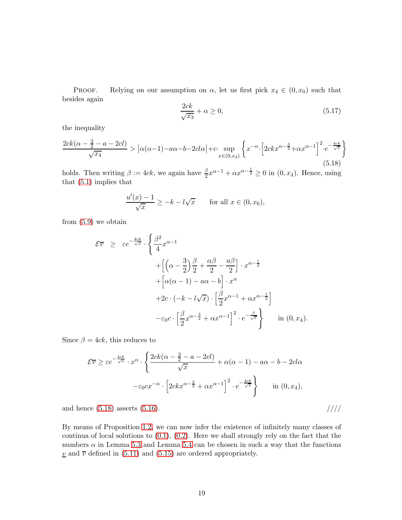PROOF. Relying on our assumption on  $\alpha$ , let us first pick  $x_4 \in (0, x_0)$  such that besides again

$$
\frac{2ck}{\sqrt{x_3}} + \alpha \ge 0,\tag{5.17}
$$

the inequality

<span id="page-19-0"></span>
$$
\frac{2ck(\alpha - \frac{3}{2} - a - 2cl)}{\sqrt{x_4}} > |\alpha(\alpha - 1) - a\alpha - b - 2cl\alpha| + c \cdot \sup_{x \in (0, x_4)} \left\{ x^{-\alpha} \cdot \left[ 2ckx^{\alpha - \frac{3}{2}} + \alpha x^{\alpha - 1} \right]^2 \cdot e^{-\frac{4ck}{\sqrt{x}}} \right\}
$$
\n
$$
(5.18)
$$

holds. Then writing  $\beta := 4ck$ , we again have  $\frac{\beta}{2}x^{\alpha-1} + \alpha x^{\alpha-\frac{1}{2}} \ge 0$  in  $(0, x_4)$ . Hence, using that [\(5.1\)](#page-14-1) implies that

$$
\frac{u'(x) - 1}{\sqrt{x}} \ge -k - l\sqrt{x} \quad \text{for all } x \in (0, x_0),
$$

from [\(5.9\)](#page-16-1) we obtain

$$
\mathcal{E}\overline{v} \geq \varepsilon e^{-\frac{4ck}{\sqrt{\beta}}} \cdot \left\{ \frac{\beta^2}{4} x^{\alpha - 1} + \left[ \left( \alpha - \frac{3}{2} \right) \frac{\beta}{2} + \frac{\alpha \beta}{2} - \frac{a\beta}{2} \right] \cdot x^{\alpha - \frac{1}{2}} + \left[ \alpha(\alpha - 1) - a\alpha - b \right] \cdot x^{\alpha} + 2c \cdot \left( -k - l\sqrt{x} \right) \cdot \left[ \frac{\beta}{2} x^{\alpha - 1} + \alpha x^{\alpha - \frac{1}{2}} \right] - \varepsilon_0 c \cdot \left[ \frac{\beta}{2} x^{\alpha - \frac{3}{2}} + \alpha x^{\alpha - 1} \right]^2 \cdot e^{-\frac{\beta}{\sqrt{x}}} \right\} \quad \text{in (0, x_4).}
$$

Since  $\beta = 4ck$ , this reduces to

$$
\mathcal{E}\overline{v} \ge \varepsilon e^{-\frac{4ck}{\sqrt{x}}} \cdot x^{\alpha} \cdot \left\{ \frac{2ck(\alpha - \frac{3}{2} - a - 2cl)}{\sqrt{x}} + \alpha(\alpha - 1) - a\alpha - b - 2cl\alpha \right\}
$$

$$
-\varepsilon_0 cx^{-\alpha} \cdot \left[ 2ckx^{\alpha - \frac{3}{2}} + \alpha x^{\alpha - 1} \right]^2 \cdot e^{-\frac{4ck}{\sqrt{x}}} \right\} \quad \text{in (0, x_4),}
$$

and hence  $(5.18)$  asserts  $(5.16)$ . ////

By means of Proposition [1.2,](#page-4-2) we can now infer the existence of infinitely many classes of continua of local solutions to  $(0.1)$ ,  $(0.2)$ . Here we shall strongly rely on the fact that the numbers  $\alpha$  in Lemma [5.3](#page-17-3) and Lemma [5.4](#page-18-1) can be chosen in such a way that the functions  $\underline{v}$  and  $\overline{v}$  defined in [\(5.11\)](#page-17-0) and [\(5.15\)](#page-18-2) are ordered appropriately.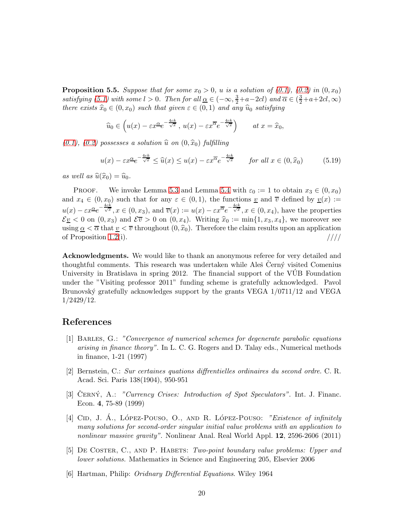**Proposition 5.5.** Suppose that for some  $x_0 > 0$ , u is a solution of  $(0.1)$ ,  $(0.2)$  in  $(0, x_0)$ satisfying [\(5.1\)](#page-14-1) with some  $l > 0$ . Then for all  $\underline{\alpha} \in (-\infty, \frac{3}{2} + a - 2cl)$  and  $\overline{\alpha} \in (\frac{3}{2} + a + 2cl, \infty)$ there exists  $\hat{x}_0 \in (0, x_0)$  such that given  $\varepsilon \in (0, 1)$  and any  $\hat{u}_0$  satisfying

$$
\widehat{u}_0 \in \left( u(x) - \varepsilon x^{\alpha} e^{-\frac{4ck}{\sqrt{x}}}, u(x) - \varepsilon x^{\overline{\alpha}} e^{-\frac{4ck}{\sqrt{x}}} \right)
$$
 at  $x = \widehat{x}_0$ ,

 $(0.1), (0.2)$  $(0.1), (0.2)$  $(0.1), (0.2)$  possesses a solution  $\widehat{u}$  on  $(0, \widehat{x}_0)$  fulfilling

$$
u(x) - \varepsilon x^{\alpha} e^{-\frac{4ck}{\sqrt{x}}} \le \widehat{u}(x) \le u(x) - \varepsilon x^{\overline{\alpha}} e^{-\frac{4ck}{\sqrt{x}}} \qquad \text{for all } x \in (0, \widehat{x}_0)
$$
 (5.19)

as well as  $\widehat{u}(\widehat{x}_0) = \widehat{u}_0$ .

**PROOF.** We invoke Lemma [5.3](#page-17-3) and Lemma [5.4](#page-18-1) with  $\varepsilon_0 := 1$  to obtain  $x_3 \in (0, x_0)$ and  $x_4 \in (0, x_0)$  such that for any  $\varepsilon \in (0, 1)$ , the functions  $\underline{v}$  and  $\overline{v}$  defined by  $\underline{v}(x) :=$  $u(x) - \varepsilon x^{\alpha} e^{-\frac{4ck}{\sqrt{x}}}, x \in (0, x_3)$ , and  $\overline{v}(x) := u(x) - \varepsilon x^{\overline{\alpha}} e^{-\frac{4ck}{\sqrt{x}}}, x \in (0, x_4)$ , have the properties  $\mathcal{E}_{\underline{v}} < 0$  on  $(0, x_3)$  and  $\mathcal{E}_{\overline{v}} > 0$  on  $(0, x_4)$ . Writing  $\hat{x}_0 := \min\{1, x_3, x_4\}$ , we moreover see using  $\alpha < \overline{\alpha}$  that  $v < \overline{v}$  throughout  $(0, \hat{x}_0)$ . Therefore the claim results upon an application of Proposition 1.2(i). of Proposition  $1.2(i)$ .

Acknowledgments. We would like to thank an anonymous referee for very detailed and thoughtful comments. This research was undertaken while Ales<sup>\*</sup> Cern $\acute{y}$  visited Comenius University in Bratislava in spring 2012. The financial support of the VUB Foundation ´ under the "Visiting professor 2011" funding scheme is gratefully acknowledged. Pavol Brunovský gratefully acknowledges support by the grants VEGA  $1/0711/12$  and VEGA 1/2429/12.

#### <span id="page-20-2"></span>References

- [1] Barles, G.: "Convergence of numerical schemes for degenerate parabolic equations arising in finance theory". In L. C. G. Rogers and D. Talay eds., Numerical methods in finance, 1-21 (1997)
- <span id="page-20-4"></span>[2] Bernstein, C.: Sur certaines quations diffrentielles ordinaires du second ordre. C. R. Acad. Sci. Paris 138(1904), 950-951
- <span id="page-20-0"></span>[3] CERNY, A.: "Currency Crises: Introduction of Spot Speculators". Int. J. Financ. Econ. 4, 75-89 (1999)
- <span id="page-20-1"></span>[4] CID, J. A., LÓPEZ-POUSO, O., AND R. LÓPEZ-POUSO: "Existence of infinitely many solutions for second-order singular initial value problems with an application to nonlinear massive gravity". Nonlinear Anal. Real World Appl. **12**, 2596-2606 (2011)
- <span id="page-20-3"></span>[5] DE COSTER, C., AND P. HABETS: Two-point boundary value problems: Upper and lower solutions. Mathematics in Science and Engineering 205, Elsevier 2006
- <span id="page-20-5"></span>[6] Hartman, Philip: Oridnary Differential Equations. Wiley 1964